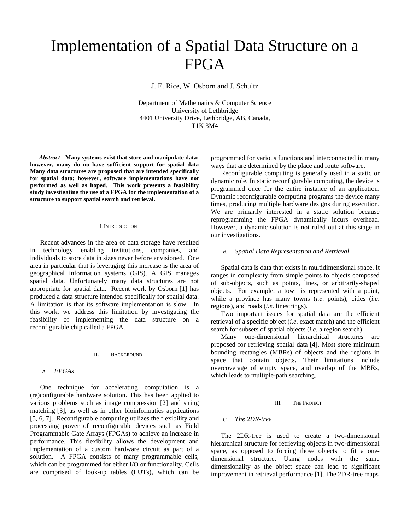# Implementation of a Spatial Data Structure on a FPGA

J. E. Rice, W. Osborn and J. Schultz

Department of Mathematics & Computer Science University of Lethbridge 4401 University Drive, Lethbridge, AB, Canada, T1K 3M4

*Abstract* **- Many systems exist that store and manipulate data; however, many do no have sufficient support for spatial data Many data structures are proposed that are intended specifically for spatial data; however, software implementations have not performed as well as hoped. This work presents a feasibility study investigating the use of a FPGA for the implementation of a structure to support spatial search and retrieval.**

#### I.INTRODUCTION

Recent advances in the area of data storage have resulted in technology enabling institutions, companies, and individuals to store data in sizes never before envisioned. One area in particular that is leveraging this increase is the area of geographical information systems (GIS). A GIS manages spatial data. Unfortunately many data structures are not appropriate for spatial data. Recent work by Osborn [1] has produced a data structure intended specifically for spatial data. A limitation is that its software implementation is slow. In this work, we address this limitation by investigating the feasibility of implementing the data structure on a reconfigurable chip called a FPGA.

#### II. BACKGROUND

## *A. FPGAs*

One technique for accelerating computation is a (re)configurable hardware solution. This has been applied to various problems such as image compression [2] and string matching [3], as well as in other bioinformatics applications [5, 6, 7]. Reconfigurable computing utilizes the flexibility and processing power of reconfigurable devices such as Field Programmable Gate Arrays (FPGAs) to achieve an increase in performance. This flexibility allows the development and implementation of a custom hardware circuit as part of a solution. A FPGA consists of many programmable cells, which can be programmed for either I/O or functionality. Cells are comprised of look-up tables (LUTs), which can be

programmed for various functions and interconnected in many ways that are determined by the place and route software.

Reconfigurable computing is generally used in a static or dynamic role. In static reconfigurable computing, the device is programmed once for the entire instance of an application. Dynamic reconfigurable computing programs the device many times, producing multiple hardware designs during execution. We are primarily interested in a static solution because reprogramming the FPGA dynamically incurs overhead. However, a dynamic solution is not ruled out at this stage in our investigations.

## *B. Spatial Data Representation and Retrieval*

Spatial data is data that exists in multidimensional space. It ranges in complexity from simple points to objects composed of sub-objects, such as points, lines, or arbitrarily-shaped objects. For example, a town is represented with a point, while a province has many towns (*i.e*. points), cities (*i.e*. regions), and roads (*i.e*. linestrings).

Two important issues for spatial data are the efficient retrieval of a specific object (*i.e*. exact match) and the efficient search for subsets of spatial objects (*i.e.* a region search).

Many one-dimensional hierarchical structures are proposed for retrieving spatial data [4]. Most store minimum bounding rectangles (MBRs) of objects and the regions in space that contain objects. Their limitations include overcoverage of empty space, and overlap of the MBRs, which leads to multiple-path searching.

#### III. THE PROJECT

### *C. The 2DR-tree*

The 2DR-tree is used to create a two-dimensional hierarchical structure for retrieving objects in two-dimensional space, as opposed to forcing those objects to fit a onedimensional structure. Using nodes with the same dimensionality as the object space can lead to significant improvement in retrieval performance [1]. The 2DR-tree maps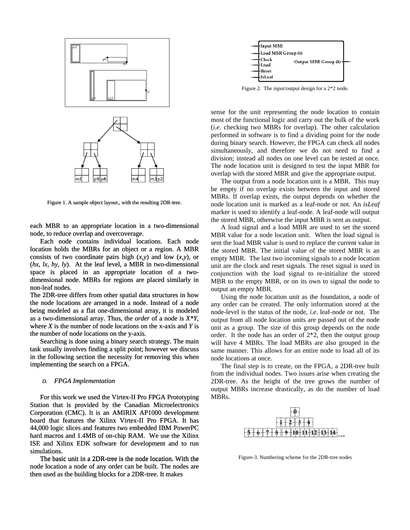



Figure 1. A sample object layout., with the resulting 2DR-tree.

each MBR to an appropriate location in a two-dimensional node, to reduce overlap and overcoverage.

Each node contains individual locations. Each node location holds the MBRs for an object or a region. A MBR consists of two coordinate pairs high (*x,y*) and low (*x,y*), or (*hx, lx, hy, ly*). At the leaf level, a MBR in two-dimensional space is placed in an appropriate location of a twodimensional node. MBRs for regions are placed similarly in non-leaf nodes. location holds the MBRs for an object or a region. A MBR consists of two coordinate pairs high  $(x, y)$  and low  $(x, y)$ , or  $(hx, k, hy, ly)$ . At the leaf level, a MBR in two-dimensional space is placed in an appropriate location

the node locations are arranged in a node. Instead of a node being modeled as a flat one-dimensional array, it is modeled as a two-dimensional array. Thus, the *order* of a node is  $X^*Y$ , where *X* is the number of node locations on the x-axis and *Y* is the number of node locations on the y-axis. The 2DR-tree differs from other spatial data structures in how

Searching is done using a binary search strategy. The main task usually involves finding a split point; however we discuss in the following section the necessity for removing this when implementing the search on a FPGA.

#### *D. FPGA Implementation*

For this work we used the Virtex-II Pro FPGA Prototyping Station that is provided by the Canadian Microelectronics Corporation (CMC). It is an AMIRIX AP1000 development board that features the Xilinx Virtex-II Pro FPGA. It has 44,000 logic slices and features two embedded IBM PowerPC hard macros and 1.4MB of on-chip RAM. We use the Xilinx ISE and Xilinx EDK software for development and to run simulations. hard macros and 1.4MB of on-chip RAM. We use the Xilinx ISE and Xilinx EDK software for development and to run simulations. The basic unit in a 2DR-tree is the node location. With the

node location a node of any order can be built. The nodes are then used as the building blocks for a 2DR-tree. It makes



Figure 2. The input/output design for a 2\*2 node.

sense for the unit representing the node location to contain most of the functional logic and carry out the bulk of the work (*i.e*. checking two MBRs for overlap). The other calculation performed in software is to find a dividing point for the node during binary search. However, the FPGA can check all nodes simultaneously, and therefore we do not need to find a division; instead all nodes on one level can be tested at once. The node location unit is designed to test the input MBR for overlap with the stored MBR and give the appropriate output.

The output from a node location unit is a MBR. This may be empty if no overlap exists between the input and stored MBRs. If overlap exists, the output depends on whether the node location unit is marked as a leaf-node or not. An *isLeaf* marker is used to identify a leaf-node. A leaf-node will output the stored MBR, otherwise the input MBR is sent as output.

A load signal and a load MBR are used to set the stored MBR value for a node location unit. When the load signal is sent the load MBR value is used to replace the current value in the stored MBR. The initial value of the stored MBR is an empty MBR. The last two incoming signals to a node location unit are the clock and reset signals. The reset signal is used in conjunction with the load signal to re-initialize the stored MBR to the empty MBR, or on its own to signal the node to output an empty MBR.

Using the node location unit as the foundation, a node of any order can be created. The only information stored at the node-level is the status of the node, *i.e*. leaf-node or not. The output from all node location units are passed out of the node unit as a group. The size of this group depends on the node order. It the node has an order of 2\*2, then the output group will have 4 MBRs. The load MBRs are also grouped in the same manner. This allows for an entire node to load all of its node locations at once.

The final step is to create, on the FPGA, a 2DR-tree built from the individual nodes. Two issues arise when creating the 2DR-tree. As the height of the tree grows the number of output MBRs increase drastically, as do the number of load MBRs.



Figure-3. Numbering scheme for the 2DR-tree nodes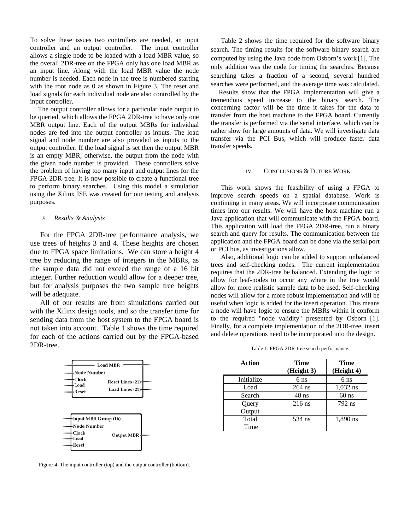To solve these issues two controllers are needed, an input controller and an output controller. The input controller allows a single node to be loaded with a load MBR value, so the overall 2DR-tree on the FPGA only has one load MBR as an input line. Along with the load MBR value the node number is needed. Each node in the tree is numbered starting with the root node as 0 as shown in Figure 3. The reset and load signals for each individual node are also controlled by the input controller.

The output controller allows for a particular node output to be queried, which allows the FPGA 2DR-tree to have only one MBR output line. Each of the output MBRs for individual nodes are fed into the output controller as inputs. The load signal and node number are also provided as inputs to the output controller. If the load signal is set then the output MBR is an empty MBR, otherwise, the output from the node with the given node number is provided. These controllers solve the problem of having too many input and output lines for the FPGA 2DR-tree. It is now possible to create a functional tree to perform binary searches. Using this model a simulation using the Xilinx ISE was created for our testing and analysis purposes.

### *E. Results & Analysis*

For the FPGA 2DR-tree performance analysis, we use trees of heights 3 and 4. These heights are chosen due to FPGA space limitations. We can store a height 4 tree by reducing the range of integers in the MBRs, as the sample data did not exceed the range of a 16 bit integer. Further reduction would allow for a deeper tree, but for analysis purposes the two sample tree heights will be adequate.

All of our results are from simulations carried out with the Xilinx design tools, and so the transfer time for sending data from the host system to the FPGA board is not taken into account. Table 1 shows the time required for each of the actions carried out by the FPGA-based 2DR-tree.



Figure-4. The input controller (top) and the output controller (bottom).

Table 2 shows the time required for the software binary search. The timing results for the software binary search are computed by using the Java code from Osborn's work [1]. The only addition was the code for timing the searches. Because searching takes a fraction of a second, several hundred searches were performed, and the average time was calculated.

Results show that the FPGA implementation will give a tremendous speed increase to the binary search. The concerning factor will be the time it takes for the data to transfer from the host machine to the FPGA board. Currently the transfer is performed via the serial interface, which can be rather slow for large amounts of data. We will investigate data transfer via the PCI Bus, which will produce faster data transfer speeds.

## IV. CONCLUSIONS & FUTURE WORK

This work shows the feasibility of using a FPGA to improve search speeds on a spatial database. Work is continuing in many areas. We will incorporate communication times into our results. We will have the host machine run a Java application that will communicate with the FPGA board. This application will load the FPGA 2DR-tree, run a binary search and query for results. The communication between the application and the FPGA board can be done via the serial port or PCI bus, as investigations allow.

Also, additional logic can be added to support unbalanced trees and self-checking nodes. The current implementation requires that the 2DR-tree be balanced. Extending the logic to allow for leaf-nodes to occur any where in the tree would allow for more realistic sample data to be used. Self-checking nodes will allow for a more robust implementation and will be useful when logic is added for the insert operation. This means a node will have logic to ensure the MBRs within it conform to the required "node validity" presented by Osborn [1]. Finally, for a complete implementation of the 2DR-tree, insert and delete operations need to be incorporated into the design.

Table 1*.* FPGA 2DR-tree search performance.

| Action     | Time<br>(Height 3) | <b>Time</b><br>(Height 4) |
|------------|--------------------|---------------------------|
| Initialize | 6 <sub>ns</sub>    | 6 <sub>ns</sub>           |
| Load       | $264$ ns           | $1,032$ ns                |
| Search     | $48$ ns            | $60$ ns                   |
| Query      | $216$ ns           | 792 ns                    |
| Output     |                    |                           |
| Total      | 534 ns             | 1,890 ns                  |
| Time       |                    |                           |